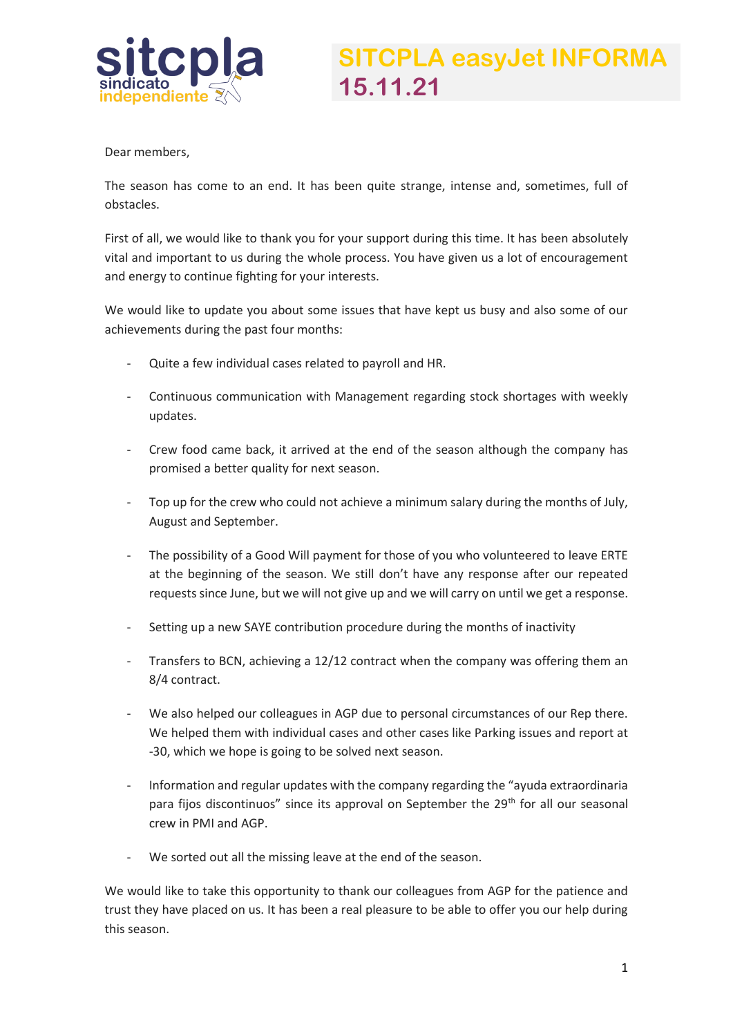

Dear members,

The season has come to an end. It has been quite strange, intense and, sometimes, full of obstacles.

First of all, we would like to thank you for your support during this time. It has been absolutely vital and important to us during the whole process. You have given us a lot of encouragement and energy to continue fighting for your interests.

We would like to update you about some issues that have kept us busy and also some of our achievements during the past four months:

- Quite a few individual cases related to payroll and HR.
- Continuous communication with Management regarding stock shortages with weekly updates.
- Crew food came back, it arrived at the end of the season although the company has promised a better quality for next season.
- Top up for the crew who could not achieve a minimum salary during the months of July, August and September.
- The possibility of a Good Will payment for those of you who volunteered to leave ERTE at the beginning of the season. We still don't have any response after our repeated requests since June, but we will not give up and we will carry on until we get a response.
- Setting up a new SAYE contribution procedure during the months of inactivity
- Transfers to BCN, achieving a 12/12 contract when the company was offering them an 8/4 contract.
- We also helped our colleagues in AGP due to personal circumstances of our Rep there. We helped them with individual cases and other cases like Parking issues and report at -30, which we hope is going to be solved next season.
- Information and regular updates with the company regarding the "ayuda extraordinaria para fijos discontinuos" since its approval on September the 29<sup>th</sup> for all our seasonal crew in PMI and AGP.
- We sorted out all the missing leave at the end of the season.

We would like to take this opportunity to thank our colleagues from AGP for the patience and trust they have placed on us. It has been a real pleasure to be able to offer you our help during this season.